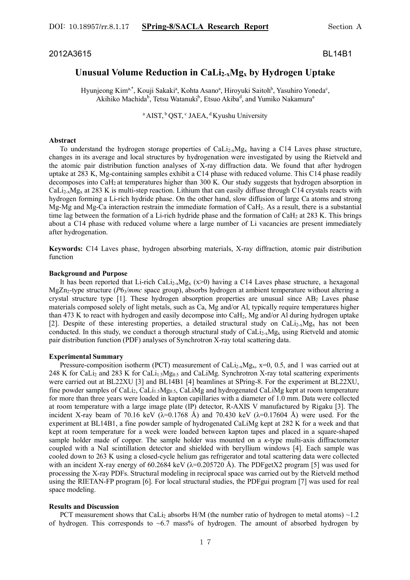## 2012A3615 BL14B1

# **Unusual Volume Reduction in CaLi2-xMgx by Hydrogen Uptake**

Hyunjeong Kim<sup>a,\*</sup>, Kouji Sakaki<sup>a</sup>, Kohta Asano<sup>a</sup>, Hiroyuki Saitoh<sup>b</sup>, Yasuhiro Yoneda<sup>c</sup>, Akihiko Machida<sup>b</sup>, Tetsu Watanuki<sup>b</sup>, Etsuo Akiba<sup>d</sup>, and Yumiko Nakamura<sup>a</sup>

<sup>a</sup> AIST,  ${}^{b}$  QST,  ${}^{c}$  JAEA,  ${}^{d}$  Kyushu University

#### **Abstract**

To understand the hydrogen storage properties of  $Caliz_xMg_x$  having a C14 Laves phase structure, changes in its average and local structures by hydrogenation were investigated by using the Rietveld and the atomic pair distribution function analyses of X-ray diffraction data. We found that after hydrogen uptake at 283 K, Mg-containing samples exhibit a C14 phase with reduced volume. This C14 phase readily decomposes into CaH2 at temperatures higher than 300 K. Our study suggests that hydrogen absorption in  $Caliz_xMg_x$  at 283 K is multi-step reaction. Lithium that can easily diffuse through C14 crystals reacts with hydrogen forming a Li-rich hydride phase. On the other hand, slow diffusion of large Ca atoms and strong Mg-Mg and Mg-Ca interaction restrain the immediate formation of CaH2. As a result, there is a substantial time lag between the formation of a Li-rich hydride phase and the formation of  $CaH<sub>2</sub>$  at 283 K. This brings about a C14 phase with reduced volume where a large number of Li vacancies are present immediately after hydrogenation.

**Keywords:** C14 Laves phase, hydrogen absorbing materials, X-ray diffraction, atomic pair distribution function

#### **Background and Purpose**

It has been reported that Li-rich CaLi<sub>2-x</sub>Mg<sub>x</sub> ( $x>0$ ) having a C14 Laves phase structure, a hexagonal MgZn<sub>2</sub>-type structure (*P6<sub>3</sub>/mmc* space group), absorbs hydrogen at ambient temperature without altering a crystal structure type  $[1]$ . These hydrogen absorption properties are unusual since  $AB_2$  Laves phase materials composed solely of light metals, such as Ca, Mg and/or Al, typically require temperatures higher than 473 K to react with hydrogen and easily decompose into CaH2, Mg and/or Al during hydrogen uptake [2]. Despite of these interesting properties, a detailed structural study on CaLi<sub>2-x</sub>Mg<sub>x</sub> has not been conducted. In this study, we conduct a thorough structural study of CaLi<sub>2-x</sub>Mg<sub>x</sub> using Rietveld and atomic pair distribution function (PDF) analyses of Synchrotron X-ray total scattering data.

#### **Experimental Summary**

Pressure-composition isotherm (PCT) measurement of CaLi<sub>2-x</sub>Mg<sub>x</sub>,  $x=0$ , 0.5, and 1 was carried out at 248 K for CaLi<sub>2</sub> and 283 K for CaLi<sub>1.5</sub>Mg<sub>0.5</sub> and CaLiMg. Synchrotron X-ray total scattering experiments were carried out at BL22XU [3] and BL14B1 [4] beamlines at SPring-8. For the experiment at BL22XU, fine powder samples of CaLi<sub>2</sub>, CaLi<sub>1.5</sub>Mg<sub>0.5</sub>, CaLiMg and hydrogenated CaLiMg kept at room temperature for more than three years were loaded in kapton capillaries with a diameter of 1.0 mm. Data were collected at room temperature with a large image plate (IP) detector, R-AXIS V manufactured by Rigaku [3]. The incident X-ray beam of 70.16 keV  $(\lambda=0.1768 \text{ Å})$  and 70.430 keV  $(\lambda=0.17604 \text{ Å})$  were used. For the experiment at BL14B1, a fine powder sample of hydrogenated CaLiMg kept at 282 K for a week and that kept at room temperature for a week were loaded between kapton tapes and placed in a square-shaped sample holder made of copper. The sample holder was mounted on a *κ*-type multi-axis diffractometer coupled with a NaI scintillation detector and shielded with beryllium windows [4]. Each sample was cooled down to 263 K using a closed-cycle helium gas refrigerator and total scattering data were collected with an incident X-ray energy of 60.2684 keV ( $\lambda$ =0.205720 Å). The PDFgetX2 program [5] was used for processing the X-ray PDFs. Structural modeling in reciprocal space was carried out by the Rietveld method using the RIETAN-FP program [6]. For local structural studies, the PDFgui program [7] was used for real space modeling.

#### **Results and Discussion**

PCT measurement shows that CaLi<sub>2</sub> absorbs H/M (the number ratio of hydrogen to metal atoms)  $\sim$ 1.2 of hydrogen. This corresponds to  $\sim 6.7$  mass% of hydrogen. The amount of absorbed hydrogen by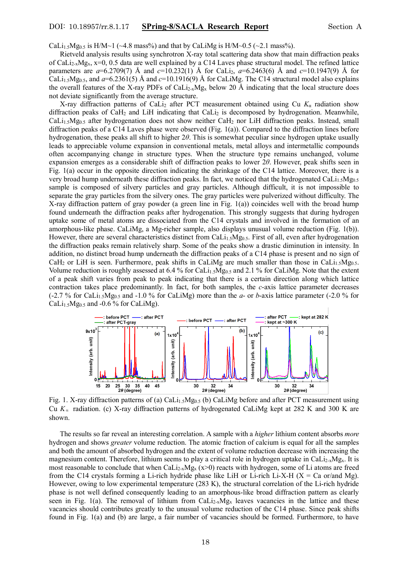CaLi<sub>1.5</sub>Mg<sub>0.5</sub> is H/M~1 (~4.8 mass%) and that by CaLiMg is H/M~0.5 (~2.1 mass%).

 Rietveld analysis results using synchrotron X-ray total scattering data show that main diffraction peaks of CaLi<sub>2-x</sub>Mg<sub>x</sub>, x=0, 0.5 data are well explained by a C14 Laves phase structural model. The refined lattice parameters are  $a=6.2709(7)$  Å and  $c=10.232(1)$  Å for CaLi<sub>2</sub>,  $a=6.2463(6)$  Å and  $c=10.1947(9)$  Å for CaLi<sub>1.5</sub>Mg<sub>0.5</sub>, and  $a=6.2361(5)$  Å and  $c=10.1916(9)$  Å for CaLiMg. The C14 structural model also explains the overall features of the X-ray PDFs of CaLi<sub>2-x</sub>Mg<sub>x</sub> below 20 Å indicating that the local structure does not deviate significantly from the average structure.

X-ray diffraction patterns of CaLi<sub>2</sub> after PCT measurement obtained using Cu  $K_{\alpha}$  radiation show diffraction peaks of CaH<sub>2</sub> and LiH indicating that CaLi<sub>2</sub> is decomposed by hydrogenation. Meanwhile, CaLi<sub>1.5</sub>Mg<sub>0.5</sub> after hydrogenation does not show neither CaH<sub>2</sub> nor LiH diffraction peaks. Instead, small diffraction peaks of a C14 Laves phase were observed (Fig. 1(a)). Compared to the diffraction lines before hydrogenation, these peaks all shift to higher 2*θ*. This is somewhat peculiar since hydrogen uptake usually leads to appreciable volume expansion in conventional metals, metal alloys and intermetallic compounds often accompanying change in structure types. When the structure type remains unchanged, volume expansion emerges as a considerable shift of diffraction peaks to lower 2*θ*. However, peak shifts seen in Fig. 1(a) occur in the opposite direction indicating the shrinkage of the C14 lattice. Moreover, there is a very broad hump underneath these diffraction peaks. In fact, we noticed that the hydrogenated CaLi<sub>1</sub>,  $Mg_0$ <sub>5</sub>. sample is composed of silvery particles and gray particles. Although difficult, it is not impossible to separate the gray particles from the silvery ones. The gray particles were pulverized without difficulty. The X-ray diffraction pattern of gray powder (a green line in Fig. 1(a)) coincides well with the broad hump found underneath the diffraction peaks after hydrogenation. This strongly suggests that during hydrogen uptake some of metal atoms are dissociated from the C14 crystals and involved in the formation of an amorphous-like phase. CaLiMg, a Mg-richer sample, also displays unusual volume reduction (Fig. 1(b)). However, there are several characteristics distinct from CaLi<sub>1.5</sub>Mg<sub>0.5</sub>. First of all, even after hydrogenation the diffraction peaks remain relatively sharp. Some of the peaks show a drastic diminution in intensity. In addition, no distinct broad hump underneath the diffraction peaks of a C14 phase is present and no sign of CaH<sub>2</sub> or LiH is seen. Furthermore, peak shifts in CaLiMg are much smaller than those in CaLi<sub>1.5</sub>Mg<sub>0.5</sub>. Volume reduction is roughly assessed at 6.4 % for CaLi<sub>1.5</sub>Mg<sub>0.5</sub> and 2.1 % for CaLiMg. Note that the extent of a peak shift varies from peak to peak indicating that there is a certain direction along which lattice contraction takes place predominantly. In fact, for both samples, the *c*-axis lattice parameter decreases  $(-2.7\%$  for CaLi<sub>1.5</sub>Mg<sub>0.5</sub> and -1.0 % for CaLiMg) more than the *a*- or *b*-axis lattice parameter (-2.0 % for CaLi $_{1.5}$ Mg<sub>0.5</sub> and -0.6 % for CaLiMg).



Fig. 1. X-ray diffraction patterns of (a) CaLi<sub>1.5</sub>Mg<sub>0.5</sub> (b) CaLiMg before and after PCT measurement using Cu *K*<sup>α</sup> radiation. (c) X-ray diffraction patterns of hydrogenated CaLiMg kept at 282 K and 300 K are shown.

 The results so far reveal an interesting correlation. A sample with a *higher* lithium content absorbs *more* hydrogen and shows *greater* volume reduction. The atomic fraction of calcium is equal for all the samples and both the amount of absorbed hydrogen and the extent of volume reduction decrease with increasing the magnesium content. Therefore, lithium seems to play a critical role in hydrogen uptake in CaLi<sub>2-x</sub>Mg<sub>x</sub>. It is most reasonable to conclude that when CaLi<sub>2-x</sub>Mg<sub>x</sub> (x>0) reacts with hydrogen, some of Li atoms are freed from the C14 crystals forming a Li-rich hydride phase like LiH or Li-rich Li-X-H ( $X = Ca$  or/and Mg). However, owing to low experimental temperature (283 K), the structural correlation of the Li-rich hydride phase is not well defined consequently leading to an amorphous-like broad diffraction pattern as clearly seen in Fig. 1(a). The removal of lithium from CaLi<sub>2-x</sub>Mg<sub>x</sub> leaves vacancies in the lattice and these vacancies should contributes greatly to the unusual volume reduction of the C14 phase. Since peak shifts found in Fig. 1(a) and (b) are large, a fair number of vacancies should be formed. Furthermore, to have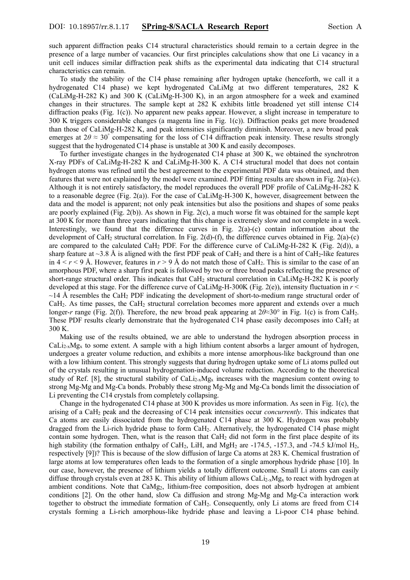such apparent diffraction peaks C14 structural characteristics should remain to a certain degree in the presence of a large number of vacancies. Our first principles calculations show that one Li vacancy in a unit cell induces similar diffraction peak shifts as the experimental data indicating that C14 structural characteristics can remain.

 To study the stability of the C14 phase remaining after hydrogen uptake (henceforth, we call it a hydrogenated C14 phase) we kept hydrogenated CaLiMg at two different temperatures, 282 K (CaLiMg-H-282 K) and 300 K (CaLiMg-H-300 K), in an argon atmosphere for a week and examined changes in their structures. The sample kept at 282 K exhibits little broadened yet still intense C14 diffraction peaks (Fig. 1(c)). No apparent new peaks appear. However, a slight increase in temperature to 300 K triggers considerable changes (a magenta line in Fig. 1(c)). Diffraction peaks get more broadened than those of CaLiMg-H-282 K, and peak intensities significantly diminish. Moreover, a new broad peak emerges at  $2\theta \approx 30^\circ$  compensating for the loss of C14 diffraction peak intensity. These results strongly suggest that the hydrogenated C14 phase is unstable at 300 K and easily decomposes.

 To further investigate changes in the hydrogenated C14 phase at 300 K, we obtained the synchrotron X-ray PDFs of CaLiMg-H-282 K and CaLiMg-H-300 K. A C14 structural model that does not contain hydrogen atoms was refined until the best agreement to the experimental PDF data was obtained, and then features that were not explained by the model were examined. PDF fitting results are shown in Fig. 2(a)-(c). Although it is not entirely satisfactory, the model reproduces the overall PDF profile of CaLiMg-H-282 K to a reasonable degree (Fig. 2(a)). For the case of CaLiMg-H-300 K, however, disagreement between the data and the model is apparent; not only peak intensities but also the positions and shapes of some peaks are poorly explained (Fig. 2(b)). As shown in Fig. 2(c), a much worse fit was obtained for the sample kept at 300 K for more than three years indicating that this change is extremely slow and not complete in a week. Interestingly, we found that the difference curves in Fig.  $2(a)-(c)$  contain information about the development of CaH2 structural correlation. In Fig. 2(d)-(f), the difference curves obtained in Fig. 2(a)-(c) are compared to the calculated CaH<sub>2</sub> PDF. For the difference curve of CaLiMg-H-282 K (Fig. 2(d)), a sharp feature at  $\sim$ 3.8 Å is aligned with the first PDF peak of CaH<sub>2</sub> and there is a hint of CaH<sub>2</sub>-like features in  $4 < r < 9$  Å. However, features in  $r > 9$  Å do not match those of CaH<sub>2</sub>. This is similar to the case of an amorphous PDF, where a sharp first peak is followed by two or three broad peaks reflecting the presence of short-range structural order. This indicates that CaH<sub>2</sub> structural correlation in CaLiMg-H-282 K is poorly developed at this stage. For the difference curve of CaLiMg-H-300K (Fig. 2(e)), intensity fluctuation in *r* <  $\sim$ 14 Å resembles the CaH<sub>2</sub> PDF indicating the development of short-to-medium range structural order of CaH2. As time passes, the CaH2 structural correlation becomes more apparent and extends over a much longer-*r* range (Fig. 2(f)). Therefore, the new broad peak appearing at  $2\theta \approx 30^\circ$  in Fig. 1(c) is from CaH<sub>2</sub>. These PDF results clearly demonstrate that the hydrogenated C14 phase easily decomposes into CaH<sub>2</sub> at 300 K.

 Making use of the results obtained, we are able to understand the hydrogen absorption process in  $Caliz_xMg_x$  to some extent. A sample with a high lithium content absorbs a larger amount of hydrogen, undergoes a greater volume reduction, and exhibits a more intense amorphous-like background than one with a low lithium content. This strongly suggests that during hydrogen uptake some of Li atoms pulled out of the crystals resulting in unusual hydrogenation-induced volume reduction. According to the theoretical study of Ref. [8], the structural stability of CaLi<sub>2-x</sub>Mg<sub>x</sub> increases with the magnesium content owing to strong Mg-Mg and Mg-Ca bonds. Probably these strong Mg-Mg and Mg-Ca bonds limit the dissociation of Li preventing the C14 crystals from completely collapsing.

 Change in the hydrogenated C14 phase at 300 K provides us more information. As seen in Fig. 1(c), the arising of a CaH2 peak and the decreasing of C14 peak intensities occur *concurrently*. This indicates that Ca atoms are easily dissociated from the hydrogenated C14 phase at 300 K. Hydrogen was probably dragged from the Li-rich hydride phase to form CaH2. Alternatively, the hydrogenated C14 phase might contain some hydrogen. Then, what is the reason that CaH2 did not form in the first place despite of its high stability (the formation enthalpy of CaH<sub>2</sub>, LiH, and MgH<sub>2</sub> are  $-174.5$ ,  $-157.3$ , and  $-74.5$  kJ/mol H<sub>2</sub>, respectively [9])? This is because of the slow diffusion of large Ca atoms at 283 K. Chemical frustration of large atoms at low temperatures often leads to the formation of a single amorphous hydride phase [10]. In our case, however, the presence of lithium yields a totally different outcome. Small Li atoms can easily diffuse through crystals even at 283 K. This ability of lithium allows CaLi<sub>2-x</sub>Mg<sub>x</sub> to react with hydrogen at ambient conditions. Note that CaMg2, lithium-free composition, does not absorb hydrogen at ambient conditions [2]. On the other hand, slow Ca diffusion and strong Mg-Mg and Mg-Ca interaction work together to obstruct the immediate formation of CaH2. Consequently, only Li atoms are freed from C14 crystals forming a Li-rich amorphous-like hydride phase and leaving a Li-poor C14 phase behind.